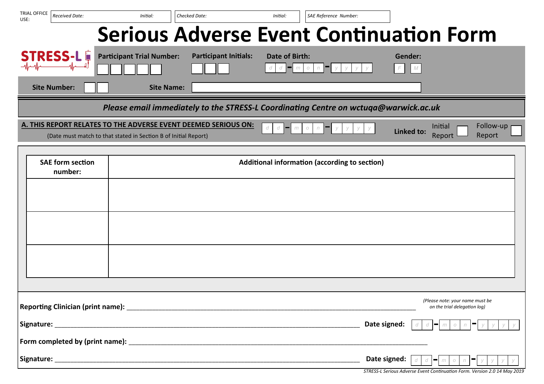| TRIAL OFFICE<br>USE:                                                                | Received Date:      | Initial:                                                        |                   | Checked Date:                                                                        | Initial:                   | SAE Reference Number:    |              |                                                                 |                     |
|-------------------------------------------------------------------------------------|---------------------|-----------------------------------------------------------------|-------------------|--------------------------------------------------------------------------------------|----------------------------|--------------------------|--------------|-----------------------------------------------------------------|---------------------|
|                                                                                     |                     |                                                                 |                   | <b>Serious Adverse Event Continuation Form</b>                                       |                            |                          |              |                                                                 |                     |
|                                                                                     | <b>STRESS-LE</b>    | <b>Participant Trial Number:</b>                                |                   | <b>Participant Initials:</b>                                                         | <b>Date of Birth:</b><br>m | n<br>$\circlearrowright$ | F            | Gender:<br>M                                                    |                     |
|                                                                                     | <b>Site Number:</b> |                                                                 | <b>Site Name:</b> |                                                                                      |                            |                          |              |                                                                 |                     |
|                                                                                     |                     |                                                                 |                   | Please email immediately to the STRESS-L Coordinating Centre on wctuqa@warwick.ac.uk |                            |                          |              |                                                                 |                     |
|                                                                                     |                     | (Date must match to that stated in Section B of Initial Report) |                   | A. THIS REPORT RELATES TO THE ADVERSE EVENT DEEMED SERIOUS ON:                       | d<br>d<br>m                | n<br>$\circlearrowright$ |              | Initial<br>Linked to:<br>Report                                 | Follow-up<br>Report |
| <b>SAE form section</b><br>Additional information (according to section)<br>number: |                     |                                                                 |                   |                                                                                      |                            |                          |              |                                                                 |                     |
|                                                                                     |                     |                                                                 |                   |                                                                                      |                            |                          |              |                                                                 |                     |
|                                                                                     |                     |                                                                 |                   |                                                                                      |                            |                          |              |                                                                 |                     |
|                                                                                     |                     |                                                                 |                   |                                                                                      |                            |                          |              |                                                                 |                     |
|                                                                                     |                     |                                                                 |                   |                                                                                      |                            |                          |              |                                                                 |                     |
|                                                                                     |                     |                                                                 |                   |                                                                                      |                            |                          |              | (Please note: your name must be<br>on the trial delegation log) |                     |
|                                                                                     |                     |                                                                 |                   |                                                                                      |                            |                          | Date signed: |                                                                 |                     |
|                                                                                     |                     |                                                                 |                   |                                                                                      |                            |                          |              |                                                                 |                     |
|                                                                                     |                     |                                                                 |                   |                                                                                      |                            |                          | Date signed: | d<br>−<br>$\circ$<br>m                                          |                     |

*STRESS-L Serious Adverse Event Continuation Form. Version 2.0 14 May 2019*